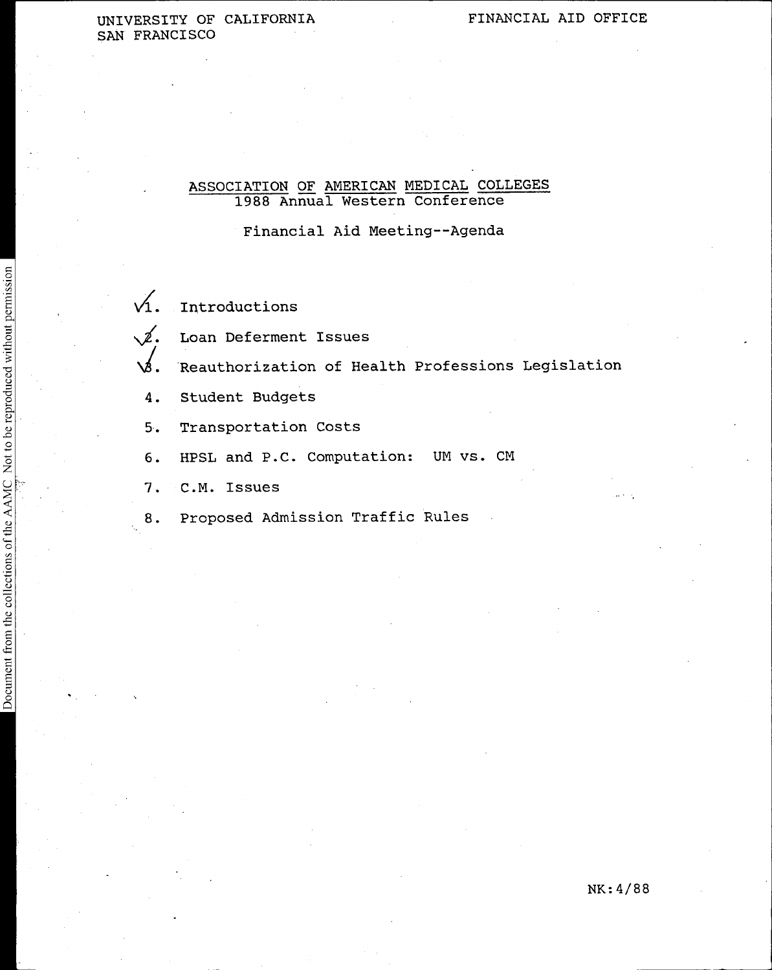# UNIVERSITY OF CALIFORNIA FINANCIAL AID OFFICE SAN FRANCISCO

# ASSOCIATION OF AMERICAN MEDICAL COLLEGES 1988 Annual Western Conference

Financial Aid Meeting--Agenda

 $\sqrt{1}$ . Introductions

 $\sqrt{2}$ . Loan Deferment Issues

 $\sqrt{3}$ . Reauthorization of Health Professions Legislation

- 4. Student Budgets
- 5. Transportation Costs
- 6. HPSL and P.C. Computation: UM vs. CM
- 7. C.M. Issues
- 8. Proposed Admission Traffic Rules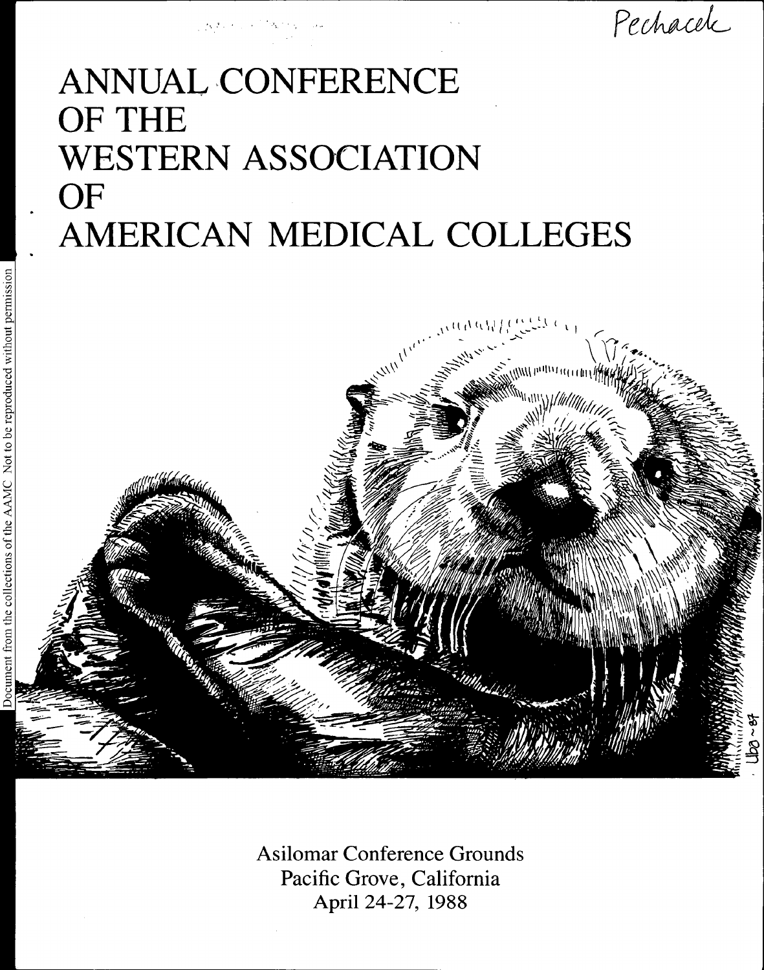

Pechacele

# ANNUAL CONFERENCE OF THE WESTERN ASSOCIATION OF AMERICAN MEDICAL COLLEGES



Asilomar Conference Grounds Pacific Grove, California April 24-27, 1988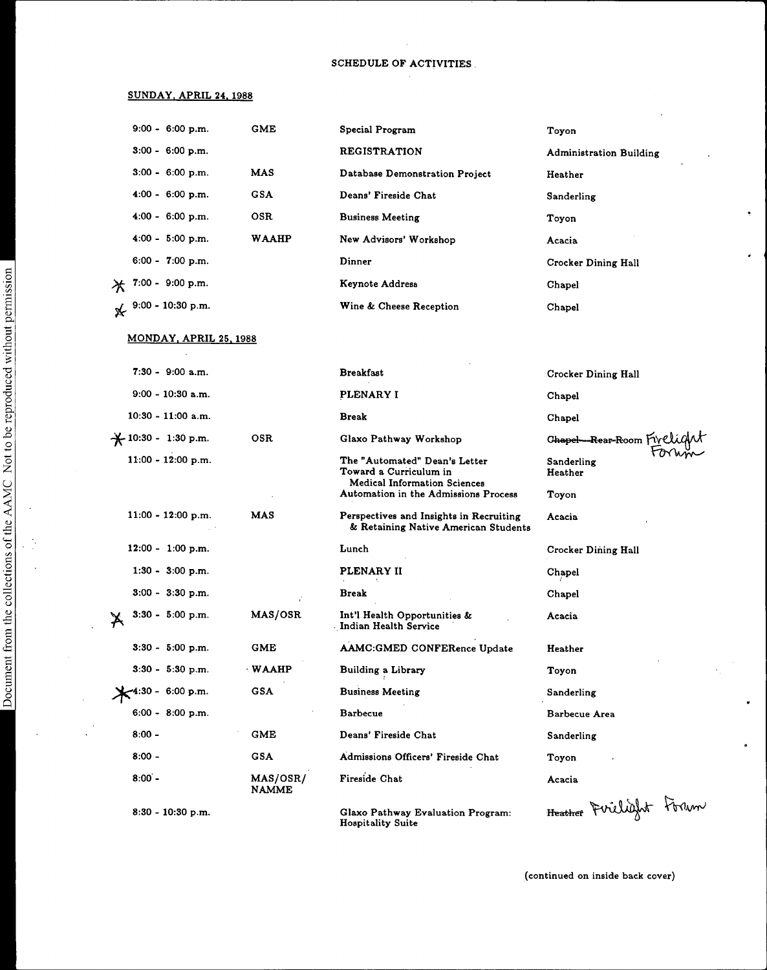# SCHEDULE OF ACTIVITIES

 $\bar{z}$ 

# SUNDAY, APRIL 24, 1988

|   | $9:00 - 6:00$ p.m.         | GME               | Special Program                                                                 | Toyon                          |
|---|----------------------------|-------------------|---------------------------------------------------------------------------------|--------------------------------|
|   | $3:00 - 6:00$ p.m.         |                   | <b>REGISTRATION</b>                                                             | <b>Administration Building</b> |
|   | $3:00 - 6:00 \text{ p.m.}$ | MAS               | Database Demonstration Project                                                  | Heather                        |
|   | $4:00 - 6:00 p.m.$         | <b>GSA</b>        | Deans' Fireside Chat                                                            | Sanderling                     |
|   | $4:00 - 6:00 p.m.$         | OSR.              | <b>Business Meeting</b>                                                         | Toyon                          |
|   | $4:00 - 5:00 p.m.$         | WAAHP             | New Advisors' Workshop                                                          | Acacia                         |
|   | $6:00 - 7:00$ p.m.         |                   | Dinner                                                                          | Crocker Dining Hall            |
| 冰 | $7:00 - 9:00 p.m.$         |                   | Keynote Address                                                                 | <b>Chapel</b>                  |
| ⊁ | 9:00 - 10:30 p.m.          |                   | Wine & Cheese Reception                                                         | Chapel                         |
|   | MONDAY, APRIL 25, 1988     |                   |                                                                                 |                                |
|   | $7:30 - 9:00$ a.m.         |                   | Breakfast                                                                       | <b>Crocker Dining Hall</b>     |
|   | $9:00 - 10:30$ a.m.        |                   | PLENARY I                                                                       | Chapel                         |
|   | $10:30 - 11:00$ a.m.       |                   | Break                                                                           | Chapel                         |
|   | +10:30 - 1:30 p.m.         | OSR               | Glaxo Pathway Workshop                                                          | Ghapel-Rear-Room Fivel         |
|   | $11:00 - 12:00 p.m.$       |                   | The "Automated" Dean's Letter<br>Toward a Curriculum in                         | Sanderling<br>Heather          |
|   |                            |                   | Medical Information Sciences<br>Automation in the Admissions Process            | Toyon                          |
|   | $11:00 - 12:00 p.m.$       | MAS               | Perspectives and Insights in Recruiting<br>& Retaining Native American Students | Acacia                         |
|   | $12:00 - 1:00$ p.m.        |                   | Lunch                                                                           | Crocker Dining Hall            |
|   | $1:30 - 3:00$ p.m.         |                   | PLENARY II                                                                      | Chapel                         |
|   | $3:00 - 3:30$ p.m.         |                   | Break                                                                           | Chapel                         |
| X | 3:30 - 5:00 p.m.           | MAS/OSR           | Int'l Health Opportunities &<br>Indian Health Service                           | Acacia                         |
|   | $3:30 - 5:00$ p.m.         | <b>GME</b>        | AAMC:GMED CONFERence Update                                                     | Heather                        |
|   | $3:30 - 5:30$ p.m.         | <b>WAAHP</b>      | Building a Library                                                              | Toyon                          |
|   | 4:30 - 6:00 p.m.           | <b>GSA</b>        | <b>Business Meeting</b>                                                         | Sanderling                     |
|   | $6:00 - 8:00 p.m.$         |                   | <b>Barbecue</b>                                                                 | Barbecue Area                  |
|   | $8:00 -$                   | <b>GME</b>        | Deans' Fireside Chat                                                            | Sanderling                     |
|   | $8:00 -$                   | <b>GSA</b>        | Admissions Officers' Fireside Chat                                              | Toyon                          |
|   | $8:00 -$                   | MAS/OSR/<br>NAMME | <b>Fireside Chat</b>                                                            | Acacia                         |
|   | 8:30 - 10:30 p.m.          |                   | Glaxo Pathway Evaluation Program:                                               | Heather Firelight Forum        |

Hospitality Suite

(continued on inside back cover)

 $\tilde{\mathcal{I}}$ 

 $\hat{\pmb{\epsilon}}$ 

 $\ddot{\phantom{0}}$ 

 $\bullet$ 

 $\frac{1}{2}$  $\ddot{\phantom{a}}$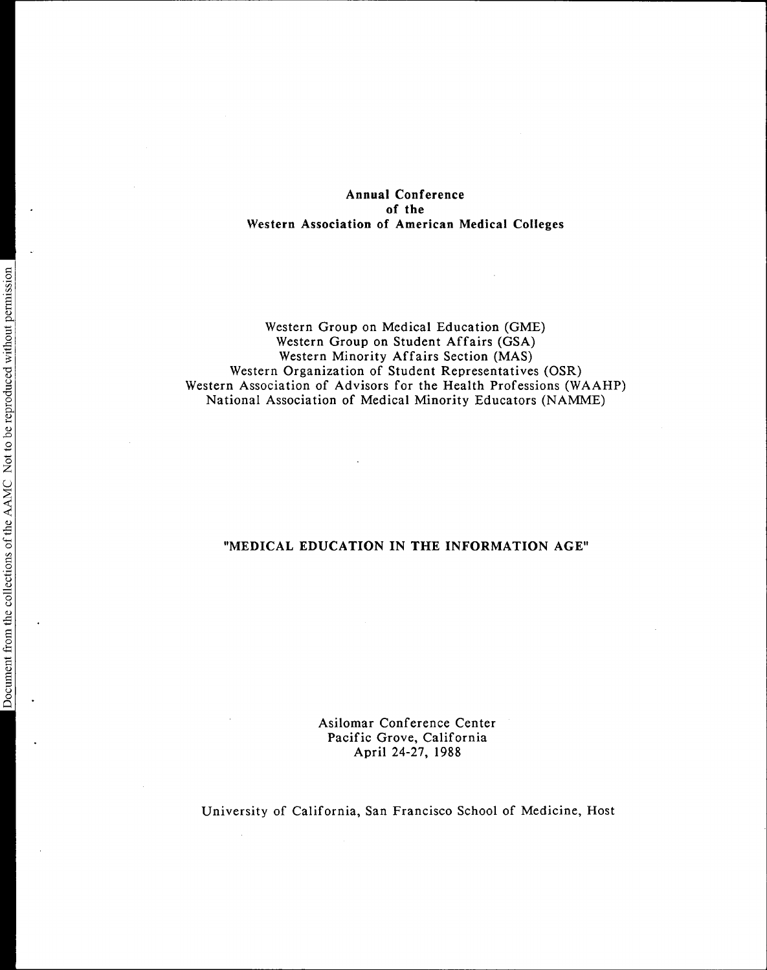# Annual Conference of the Western Association of American Medical Colleges

Western Group on Medical Education (GME) Western Group on Student Affairs (GSA) Western Minority Affairs Section (MAS) Western Organization of Student Representatives (OSR) Western Association of Advisors for the Health Professions (WAAHP) National Association of Medical Minority Educators (NAMME)

# "MEDICAL EDUCATION IN THE INFORMATION AGE"

Asilomar Conference Center Pacific Grove, California April 24-27, 1988

University of California, San Francisco School of Medicine, Host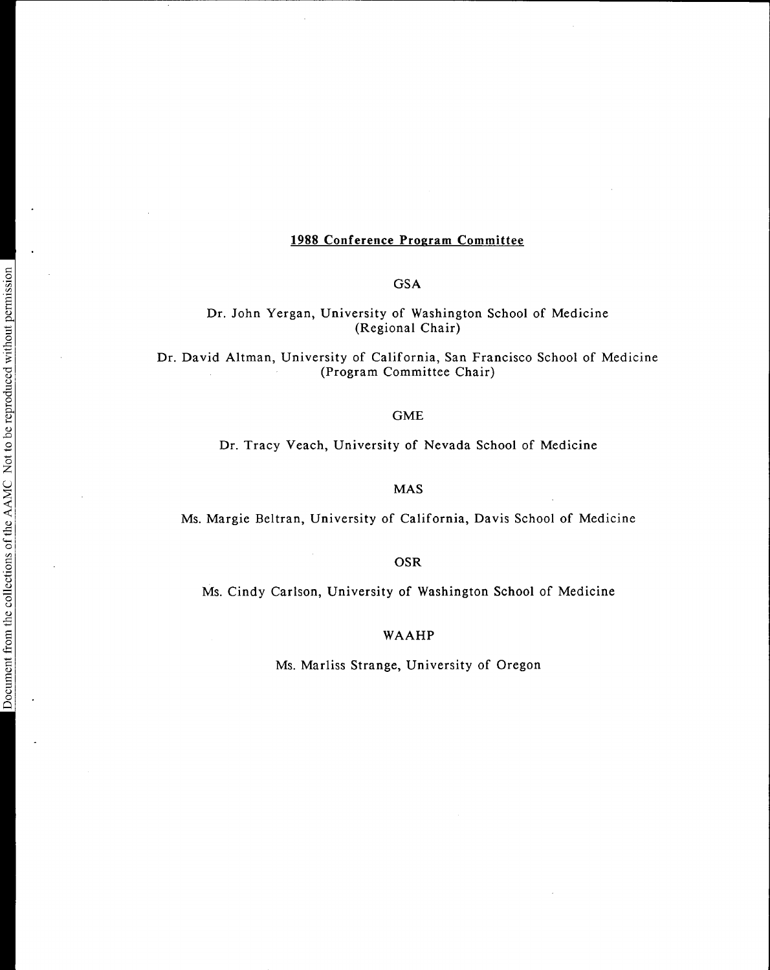# 1988 Conference Program Committee

**GSA** 

Dr. John Yergan, University of Washington School of Medicine (Regional Chair)

Dr. David Altman, University of California, San Francisco School of Medicine (Program Committee Chair)

#### GME

#### Dr. Tracy Veach, University of Nevada School of Medicine

MAS

Ms. Margie Beltran, University of California, Davis School of Medicine

OSR

Ms. Cindy Carlson, University of Washington School of Medicine

WAAHP

Ms. Marliss Strange, University of Oregon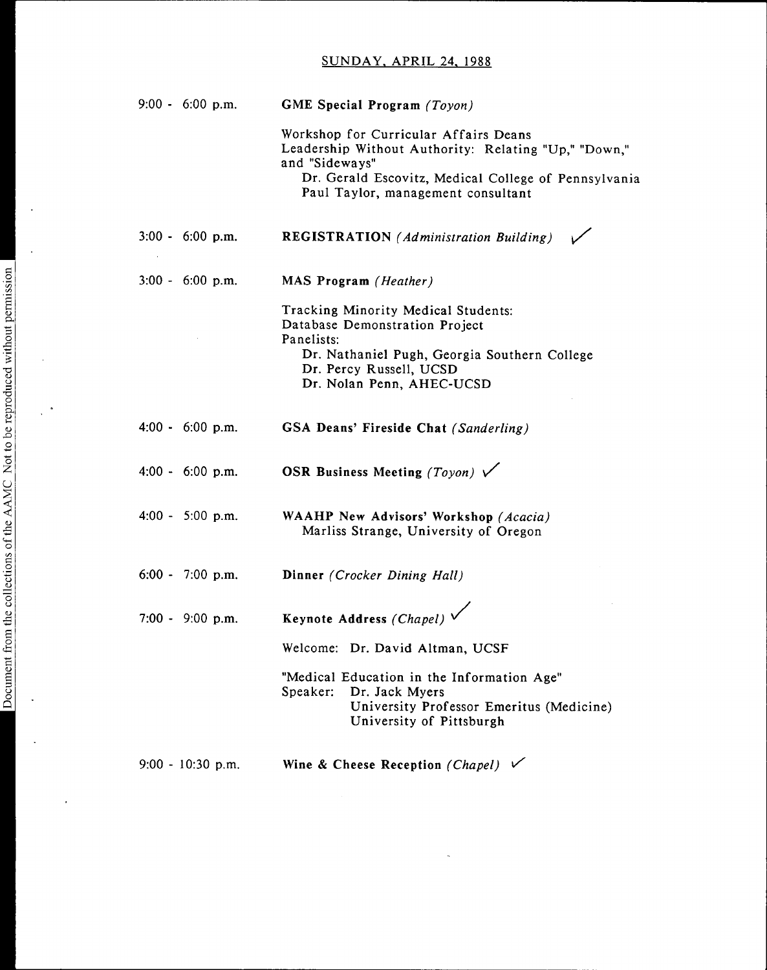# SUNDAY, APRIL 24, 1988

| $9:00 - 6:00 p.m.$         | GME Special Program (Toyon)                                                                                          |
|----------------------------|----------------------------------------------------------------------------------------------------------------------|
|                            | Workshop for Curricular Affairs Deans<br>Leadership Without Authority: Relating "Up," "Down,"<br>and "Sideways"      |
|                            | Dr. Gerald Escovitz, Medical College of Pennsylvania<br>Paul Taylor, management consultant                           |
| $3:00 - 6:00$ p.m.         | <b>REGISTRATION</b> (Administration Building)                                                                        |
| $3:00 - 6:00 \text{ p.m.}$ | MAS Program (Heather)                                                                                                |
|                            | Tracking Minority Medical Students:<br>Database Demonstration Project                                                |
|                            | Panelists:<br>Dr. Nathaniel Pugh, Georgia Southern College<br>Dr. Percy Russell, UCSD                                |
|                            | Dr. Nolan Penn, AHEC-UCSD                                                                                            |
| $4:00 - 6:00$ p.m.         | GSA Deans' Fireside Chat (Sanderling)                                                                                |
| $4:00 - 6:00 p.m.$         | OSR Business Meeting (Toyon) $\sqrt{}$                                                                               |
| $4:00 - 5:00$ p.m.         | <b>WAAHP New Advisors' Workshop</b> (Acacia)<br>Marliss Strange, University of Oregon                                |
| $6:00 - 7:00$ p.m.         | Dinner (Crocker Dining Hall)                                                                                         |
| $7:00 - 9:00$ p.m.         | Keynote Address (Chapel) V                                                                                           |
|                            | Welcome: Dr. David Altman, UCSF                                                                                      |
|                            | "Medical Education in the Information Age"<br>Speaker:<br>Dr. Jack Myers<br>University Professor Emeritus (Medicine) |
|                            | University of Pittsburgh                                                                                             |
| $9:00 - 10:30$ p.m.        | Wine & Cheese Reception (Chapel) $\checkmark$                                                                        |

 $\hat{\mathcal{A}}$ 

 $\ddot{\phantom{a}}$ 

 $\ddot{\phantom{a}}$ 

 $\bar{1}$ 

 $\overline{\phantom{a}}$ 

 $\bar{z}$ 

 $\bar{\gamma}$ 

 $\frac{1}{2}$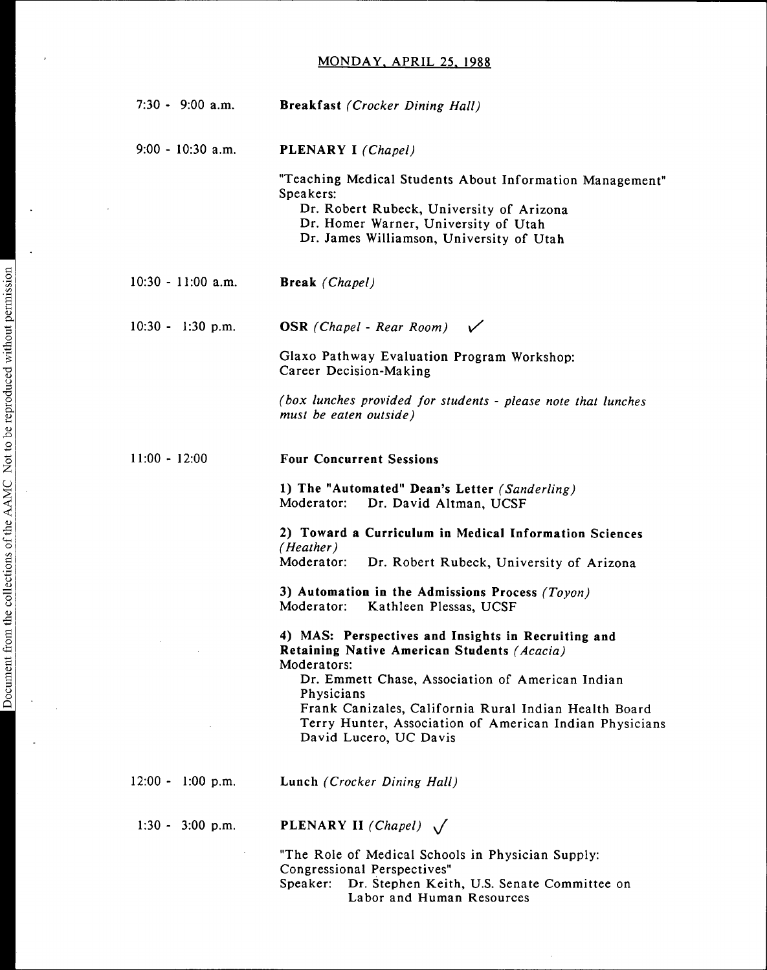# MONDAY. APRIL 25. 1988

| $7:30 - 9:00$ a.m.   | <b>Breakfast</b> (Crocker Dining Hall)                                                                                                                                                                                                                                                                                            |
|----------------------|-----------------------------------------------------------------------------------------------------------------------------------------------------------------------------------------------------------------------------------------------------------------------------------------------------------------------------------|
| $9:00 - 10:30$ a.m.  | <b>PLENARY I</b> (Chapel)                                                                                                                                                                                                                                                                                                         |
|                      | "Teaching Medical Students About Information Management"<br>Speakers:<br>Dr. Robert Rubeck, University of Arizona<br>Dr. Homer Warner, University of Utah<br>Dr. James Williamson, University of Utah                                                                                                                             |
| $10:30 - 11:00$ a.m. | <b>Break</b> (Chapel)                                                                                                                                                                                                                                                                                                             |
| $10:30 - 1:30$ p.m.  | <b>OSR</b> (Chapel - Rear Room) $\sqrt{}$                                                                                                                                                                                                                                                                                         |
|                      | Glaxo Pathway Evaluation Program Workshop:<br>Career Decision-Making                                                                                                                                                                                                                                                              |
|                      | (box lunches provided for students - please note that lunches<br>must be eaten outside)                                                                                                                                                                                                                                           |
| $11:00 - 12:00$      | <b>Four Concurrent Sessions</b>                                                                                                                                                                                                                                                                                                   |
|                      | 1) The "Automated" Dean's Letter (Sanderling)<br>Moderator:<br>Dr. David Altman, UCSF                                                                                                                                                                                                                                             |
|                      | 2) Toward a Curriculum in Medical Information Sciences<br>(Heather)<br>Moderator: Dr. Robert Rubeck, University of Arizona                                                                                                                                                                                                        |
|                      | 3) Automation in the Admissions Process $(Toyon)$<br>Moderator:<br>Kathleen Plessas, UCSF                                                                                                                                                                                                                                         |
|                      | 4) MAS: Perspectives and Insights in Recruiting and<br>Retaining Native American Students (Acacia)<br>Moderators:<br>Dr. Emmett Chase, Association of American Indian<br>Physicians<br>Frank Canizales, California Rural Indian Health Board<br>Terry Hunter, Association of American Indian Physicians<br>David Lucero, UC Davis |
| $12:00 - 1:00$ p.m.  | Lunch (Crocker Dining Hall)                                                                                                                                                                                                                                                                                                       |
| $1:30 - 3:00$ p.m.   | <b>PLENARY II</b> (Chapel) $\sqrt{}$                                                                                                                                                                                                                                                                                              |
|                      | "The Role of Medical Schools in Physician Supply:<br>Congressional Perspectives"                                                                                                                                                                                                                                                  |

Speaker: Dr. Stephen Keith, U.S. Senate Committee on Labor and Human Resources

 $\hat{\boldsymbol{\beta}}$ 

 $\ddot{\phantom{a}}$ 

 $\ddot{\phantom{a}}$ 

 $\ddot{\phantom{a}}$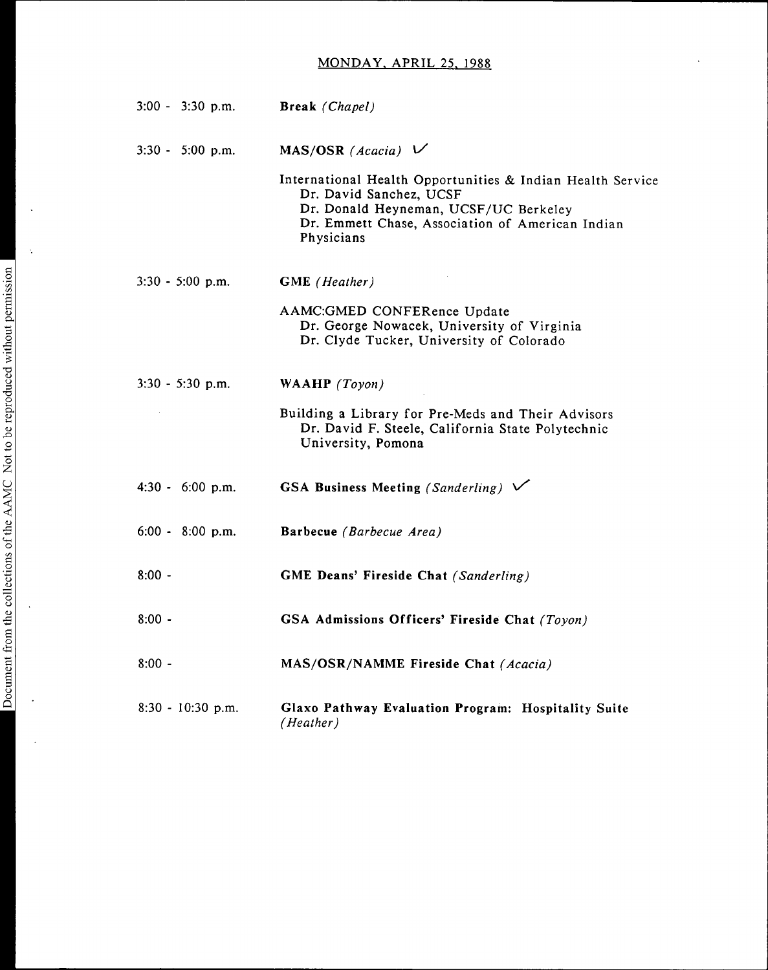# MONDAY, APRIL 25, 1988

 $\ddot{\phantom{a}}$ 

| $3:00 - 3:30$ p.m.  | Break (Chapel)                                                                                                                                                                                   |
|---------------------|--------------------------------------------------------------------------------------------------------------------------------------------------------------------------------------------------|
| $3:30 - 5:00$ p.m.  | MAS/OSR (Acacia) $\vee$                                                                                                                                                                          |
|                     | International Health Opportunities & Indian Health Service<br>Dr. David Sanchez, UCSF<br>Dr. Donald Heyneman, UCSF/UC Berkeley<br>Dr. Emmett Chase, Association of American Indian<br>Physicians |
| $3:30 - 5:00$ p.m.  | <b>GME</b> (Heather)                                                                                                                                                                             |
|                     | AAMC:GMED CONFERence Update<br>Dr. George Nowacek, University of Virginia<br>Dr. Clyde Tucker, University of Colorado                                                                            |
| $3:30 - 5:30$ p.m.  | WAAHP (Toyon)                                                                                                                                                                                    |
|                     | Building a Library for Pre-Meds and Their Advisors<br>Dr. David F. Steele, California State Polytechnic<br>University, Pomona                                                                    |
| $4:30 - 6:00$ p.m.  | GSA Business Meeting (Sanderling) $\sqrt{}$                                                                                                                                                      |
| 6:00 - 8:00 p.m.    | Barbecue (Barbecue Area)                                                                                                                                                                         |
| $8:00 -$            | GME Deans' Fireside Chat (Sanderling)                                                                                                                                                            |
| $8:00 -$            | GSA Admissions Officers' Fireside Chat (Toyon)                                                                                                                                                   |
| $8:00 -$            | MAS/OSR/NAMME Fireside Chat (Acacia)                                                                                                                                                             |
| $8:30 - 10:30$ p.m. | Glaxo Pathway Evaluation Program: Hospitality Suite<br>(Heather)                                                                                                                                 |

 $\bar{\beta}$ 

 $\bar{\mathcal{A}}$ 

 $\ddot{\phantom{a}}$ 

 $\hat{\mathcal{A}}$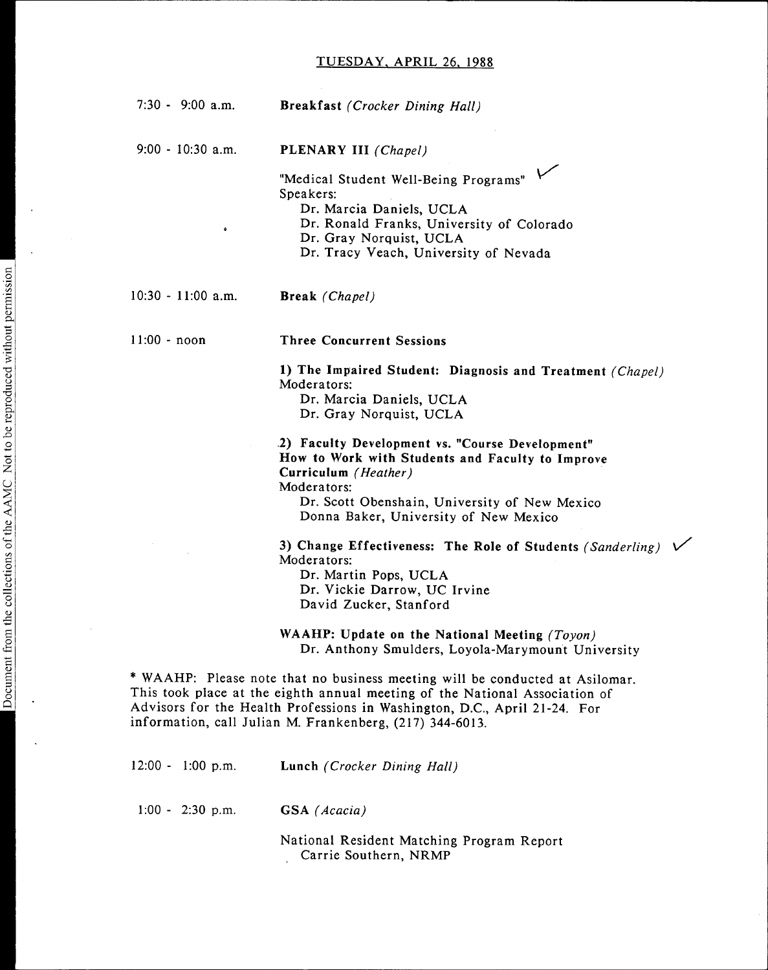| $7:30 - 9:00$ a.m.   | <b>Breakfast</b> ( <i>Crocker Dining Hall</i> )                                                                                                                                                                                                                                                      |
|----------------------|------------------------------------------------------------------------------------------------------------------------------------------------------------------------------------------------------------------------------------------------------------------------------------------------------|
| $9:00 - 10:30$ a.m.  | PLENARY III (Chapel)                                                                                                                                                                                                                                                                                 |
|                      | "Medical Student Well-Being Programs"<br>Speakers:                                                                                                                                                                                                                                                   |
|                      | Dr. Marcia Daniels, UCLA                                                                                                                                                                                                                                                                             |
| $\bullet$            | Dr. Ronald Franks, University of Colorado                                                                                                                                                                                                                                                            |
|                      | Dr. Gray Norquist, UCLA                                                                                                                                                                                                                                                                              |
|                      | Dr. Tracy Veach, University of Nevada                                                                                                                                                                                                                                                                |
| $10:30 - 11:00$ a.m. | Break (Chapel)                                                                                                                                                                                                                                                                                       |
| $11:00 - noon$       | <b>Three Concurrent Sessions</b>                                                                                                                                                                                                                                                                     |
|                      | 1) The Impaired Student: Diagnosis and Treatment (Chapel)                                                                                                                                                                                                                                            |
|                      | Moderators:<br>Dr. Marcia Daniels, UCLA                                                                                                                                                                                                                                                              |
|                      | Dr. Gray Norquist, UCLA                                                                                                                                                                                                                                                                              |
|                      | 2) Faculty Development vs. "Course Development"<br>How to Work with Students and Faculty to Improve                                                                                                                                                                                                  |
|                      | Curriculum (Heather)                                                                                                                                                                                                                                                                                 |
|                      | Moderators:                                                                                                                                                                                                                                                                                          |
|                      | Dr. Scott Obenshain, University of New Mexico<br>Donna Baker, University of New Mexico                                                                                                                                                                                                               |
|                      | 3) Change Effectiveness: The Role of Students (Sanderling)<br>Moderators:                                                                                                                                                                                                                            |
|                      | Dr. Martin Pops, UCLA                                                                                                                                                                                                                                                                                |
|                      | Dr. Vickie Darrow, UC Irvine                                                                                                                                                                                                                                                                         |
|                      | David Zucker, Stanford                                                                                                                                                                                                                                                                               |
|                      | WAAHP: Update on the National Meeting (Toyon)                                                                                                                                                                                                                                                        |
|                      | Dr. Anthony Smulders, Loyola-Marymount University                                                                                                                                                                                                                                                    |
|                      | * WAAHP: Please note that no business meeting will be conducted at Asilomar.<br>This took place at the eighth annual meeting of the National Association of<br>Advisors for the Health Professions in Washington, D.C., April 21-24. For<br>information, call Julian M. Frankenberg, (217) 344-6013. |
| $12:00 - 1:00$ p.m.  | Lunch (Crocker Dining Hall)                                                                                                                                                                                                                                                                          |
|                      |                                                                                                                                                                                                                                                                                                      |

╱

1:00 - 2:30 p.m. GSA (Acacia)

National Resident Matching Program Report Carrie Southern, NRMP

 $\ddot{\phantom{a}}$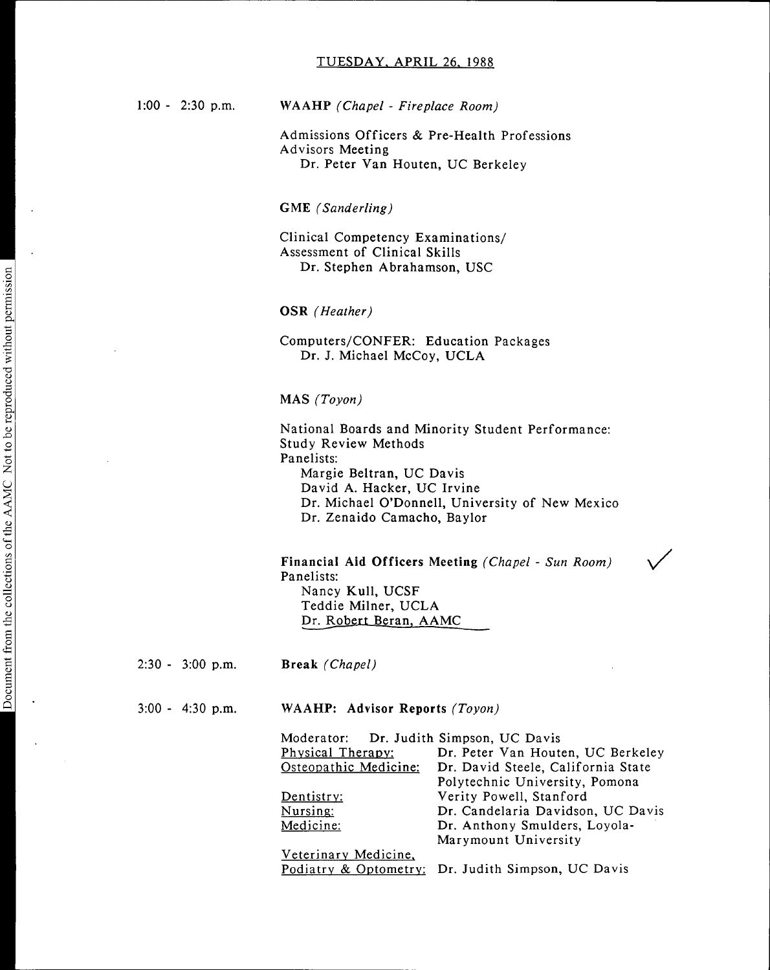1:00 - 2:30 p.m. WAAHP (Chapel - Fireplace Room)

Admissions Officers & Pre-Health Professions Advisors Meeting Dr. Peter Van Houten, UC Berkeley

GME (Sanderling)

Clinical Competency Examinations/ Assessment of Clinical Skills Dr. Stephen Abrahamson, USC

OSR (Heather)

Computers/CONFER: Education Packages Dr. J. Michael McCoy, UCLA

#### MAS (Toyon)

National Boards and Minority Student Performance: Study Review Methods Panelists: Margie Beltran, UC Davis David A. Hacker, UC Irvine Dr. Michael O'Donnell, University of New Mexico Dr. Zenaido Camacho, Baylor

Financial Aid Officers Meeting (Chapel - Sun Room) Panelists: Nancy Kull, UCSF Teddie Milner, UCLA Dr. Robert Beran, AAMC

2:30 - 3:00 p.m. Break (Chapel)

3:00 - 4:30 p.m. WAAHP: Advisor Reports (Toyon)

Moderator: Dr. Judith Simpson, UC Davis<br>
Physical Therapy: Dr. Peter Van Houte Physical Therapy: Dr. Peter Van Houten, UC Berkeley<br>Osteopathic Medicine: Dr. David Steele, California State Dr. David Steele, California State Polytechnic University, Pomona Dentistry: Verity Powell, Stanford Nursing: Dr. Candelaria Davidson, UC Davis<br>
Medicine: Dr. Anthony Smulders, Loyola-Dr. Anthony Smulders, Loyola-Marymount University

Veterinary Medicine, Podiatry & Optometry: Dr. Judith Simpson, UC Davis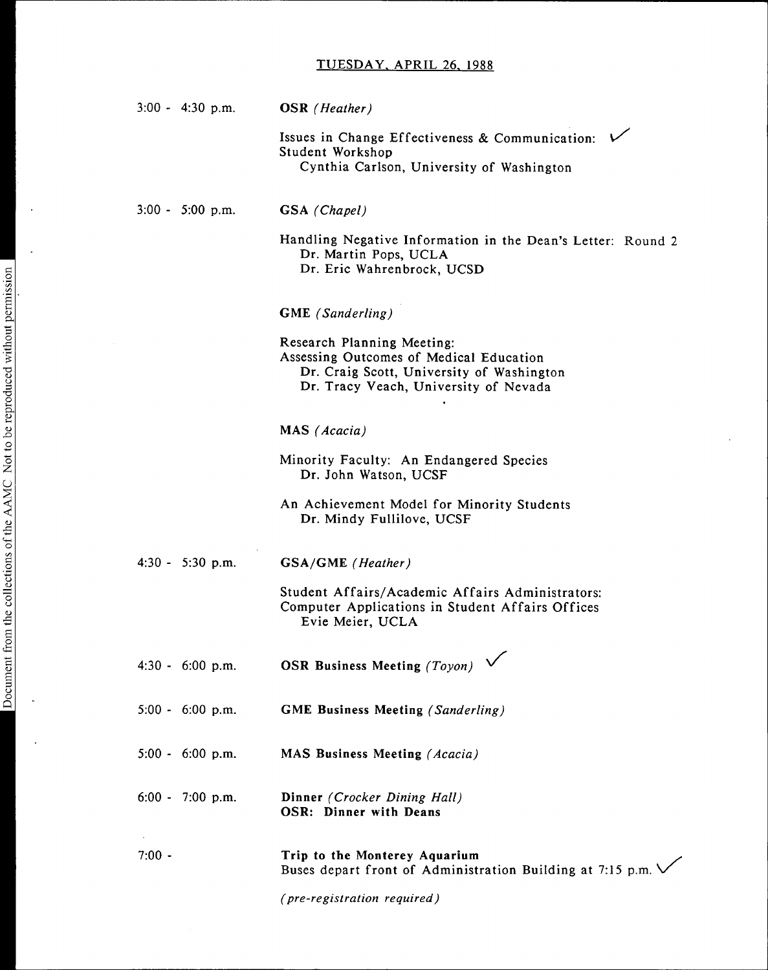| $3:00 - 4:30 \text{ p.m.}$ | <b>OSR</b> (Heather)                                                                                                                                        |
|----------------------------|-------------------------------------------------------------------------------------------------------------------------------------------------------------|
|                            | Issues in Change Effectiveness & Communication: V<br>Student Workshop<br>Cynthia Carlson, University of Washington                                          |
| $3:00 - 5:00$ p.m.         | GSA (Chapel)                                                                                                                                                |
|                            | Handling Negative Information in the Dean's Letter: Round 2<br>Dr. Martin Pops, UCLA<br>Dr. Eric Wahrenbrock, UCSD                                          |
|                            | <b>GME</b> (Sanderling)                                                                                                                                     |
|                            | Research Planning Meeting:<br>Assessing Outcomes of Medical Education<br>Dr. Craig Scott, University of Washington<br>Dr. Tracy Veach, University of Nevada |
|                            | MAS (Acacia)                                                                                                                                                |
|                            | Minority Faculty: An Endangered Species<br>Dr. John Watson, UCSF                                                                                            |
|                            | An Achievement Model for Minority Students<br>Dr. Mindy Fullilove, UCSF                                                                                     |
| $4:30 - 5:30$ p.m.         | <b>GSA/GME</b> (Heather)                                                                                                                                    |
|                            | Student Affairs/Academic Affairs Administrators:<br>Computer Applications in Student Affairs Offices<br>Evie Meier, UCLA                                    |
| $4:30 - 6:00$ p.m.         | ╭<br><b>OSR Business Meeting (Toyon)</b>                                                                                                                    |
| $5:00 - 6:00 p.m.$         | <b>GME Business Meeting (Sanderling)</b>                                                                                                                    |
| $5:00 - 6:00 p.m.$         | <b>MAS Business Meeting (Acacia)</b>                                                                                                                        |
| $6:00 - 7:00$ p.m.         | Dinner (Crocker Dining Hall)<br>OSR: Dinner with Deans                                                                                                      |
| $7:00 -$                   | Trip to the Monterey Aquarium<br>Buses depart front of Administration Building at 7:15 p.m.                                                                 |
|                            | (pre-registration required)                                                                                                                                 |

 $\sim$ 

 $\ddot{\phantom{a}}$ 

 $\ddot{\phantom{a}}$ 

 $\bar{\mathcal{A}}$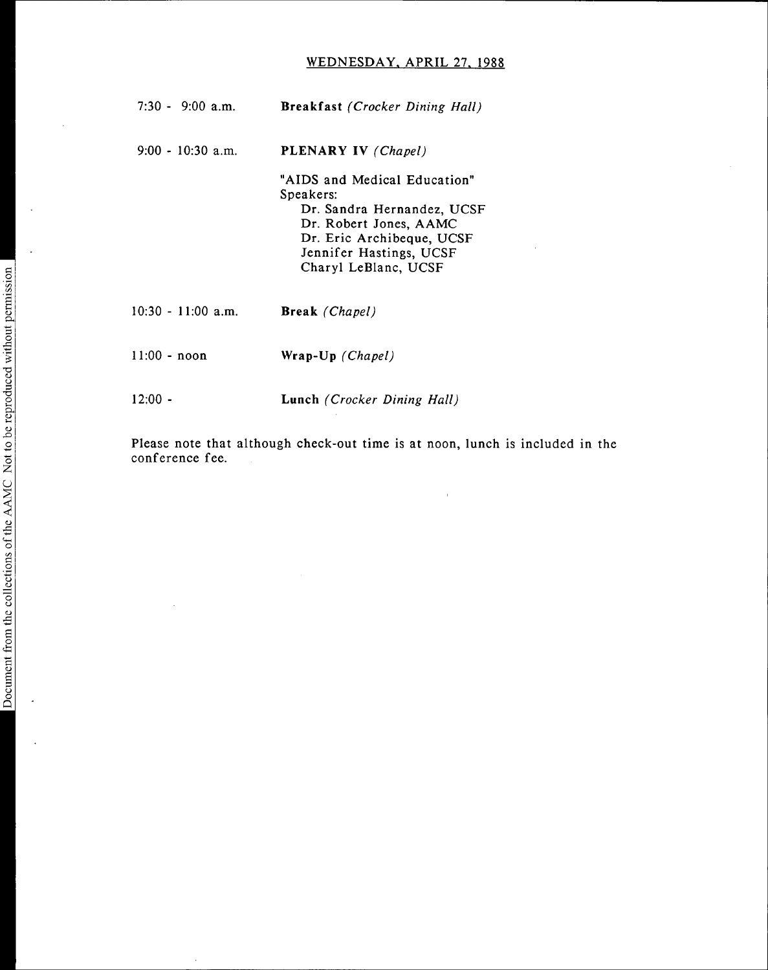# WEDNESDAY, APRIL 27, 1988

| $7:30 - 9:00$ a.m.   | <b>Breakfast</b> (Crocker Dining Hall)                                                                                                                                            |
|----------------------|-----------------------------------------------------------------------------------------------------------------------------------------------------------------------------------|
| $9:00 - 10:30$ a.m.  | PLENARY IV (Chapel)                                                                                                                                                               |
|                      | "AIDS and Medical Education"<br>Speakers:<br>Dr. Sandra Hernandez, UCSF<br>Dr. Robert Jones, AAMC<br>Dr. Eric Archibeque, UCSF<br>Jennifer Hastings, UCSF<br>Charyl LeBlanc, UCSF |
| $10:30 - 11:00$ a.m. | <b>Break</b> ( <i>Chapel</i> )                                                                                                                                                    |
| $11:00 - noon$       | Wrap-Up (Chapel)                                                                                                                                                                  |
| 12:00 -              | Lunch (Crocker Dining Hall)                                                                                                                                                       |

Please note that although check-out time is at noon, lunch is included in the conference fee.

 $\overline{a}$ 

 $\bar{z}$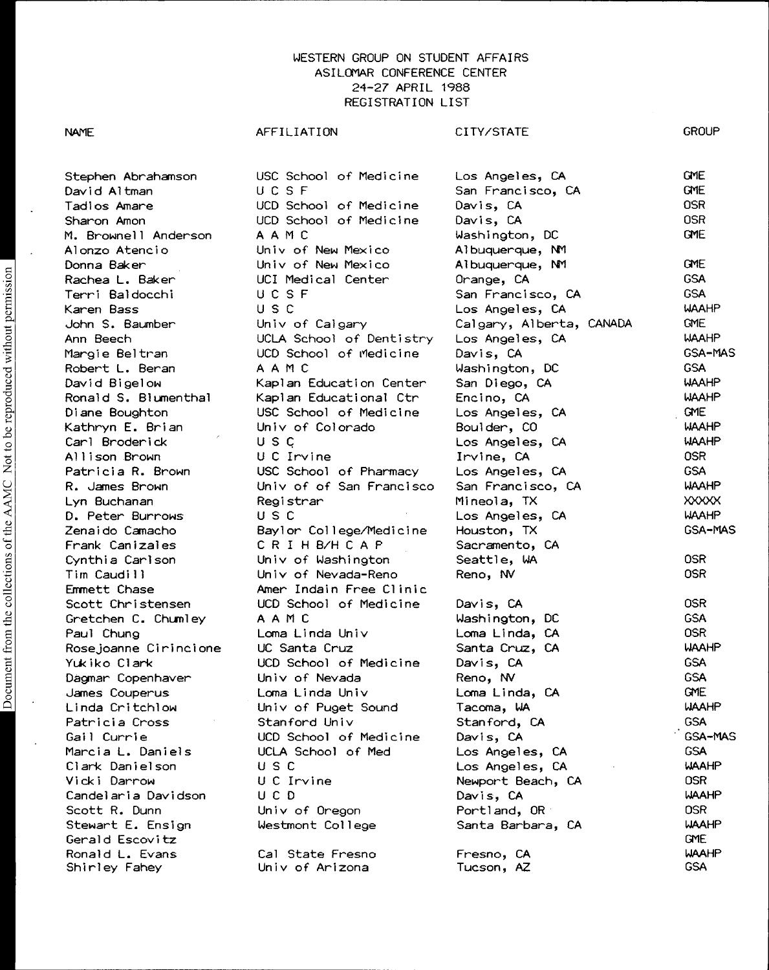Document from the collections of the AAMC Not to be reproduced without permission Document from the collections of the AAMC Not to be reproduced without permission

Paul Chung Loma Linda Univ Ronald L. Evans Cal State Fresno Fresno, CA WAAHP Shirley Fahey Univ of Arizona Tucson, AZ

Stephen Abrahamson USC School of Medicine Los Angeles, CA GME David Altman UCSF San Francisco, CA GME M. Brownell Anderson AAMC Washington, DC GME Univ of New Mexico Frank Canizales CRIHB/HCAP Sacramento, CA<br>Cynthia Carlson Univ of Washington Seattle, WA Emmett Chase **Amer Indain Free Clinic** Univ of Oregon Portland, OR

Tadios Amare UCD School of Medicine Davis, CA OSR Sharon Amon UCD School of Medicine Davis, CA OSR Donna Baker Univ of New Mexico Albuquerque, NM GME Rachea L. Baker UCI Medical Center Orange, CA GSA naches et baldochi de contradication de contradice.<br>Terri Baldocchi UCSF San Francisco, CA GSA Karen Bass USC Los Angeles, CA WAAHP John S. Baumber Univ of Calgary Calgary, Alberta, CANADA ONE Ann Beech UCLA School of Dentistry Los Angeles, CA WAAHP Margie Beltran UCD School of Medicine Davis, CA GSA-MAS nargie Bereram Boot School of Heaterne Barris, and Mashington, DC GSA<br>Robert L. Beran AAMC Washington, DC GSA David Bigelow Kaplan Education Center San Diego, CA WAAHP Ronald S. Blumenthal Kaplan Educational Ctr Encino, CA WAAHP Diane Boughton USC School of Medicine Los Angeles, CA ONE Kathryn E. Brian Univ of Colorado Boulder, CO WAAHP Carl Broderick U S c Los Angeles, CA WAAHP Allison Brown U C Irvine Irvine, CA OSR Patricia R. Brown USC School of Pharmacy Los Angeles, CA GSA R. James Brown Univ of of San Francisco San Francisco, CA WAAHP Lyn Buchanan Registrar Mineola, TX XXXXX D. Peter Burrows USC Los Angeles, CA WAAHP Zenaido Camacho Baylor College/Medicine Houston, TX GSA-MAS Univ of Washington Seattle, WA COSR OSR Tim Caudill Univ of Nevada-Reno Reno, NV OSR Scott Christensen UCD School of Medicine Davis, CA OSR Gretchen C. Chumley AAMC Washington, DC GSA Rosejoanne Cirincione UC Santa Cruz Santa Cruz, CA WAAHP Yukiko Clark UCD School of Medicine Davis, CA GSA Dagmar Copenhaver Univ of Nevada Reno, NV GSA James Couperus Loma Linda Univ Loma Linda, CA ONE Linda Critchlow Univ of Puget Sound Tacoma, WA WAAHP Patricia Cross Stanford Univ Stanford, CA GSA Gail Currie UCD School of Medicine Davis, CA '. GSA-MAS Marcia L. Daniels CCLA School of Med Los Angeles, CA GSA narchales Bannelson Court Counter Counter Los Angeles, CA WAAHP<br>Clark Danielson USC Los Angeles, CA WAAHP Vicki Darrow U C Irvine Newport Beach, CA OSR Candel aria Davidson UCD Davis, CA WAAHP Stewart E. Ensign Westmont College Santa Barbara, CA WAAHP Gerald Escovitz GME

NAME GROUP AFFILIATION CITY/STATE GROUP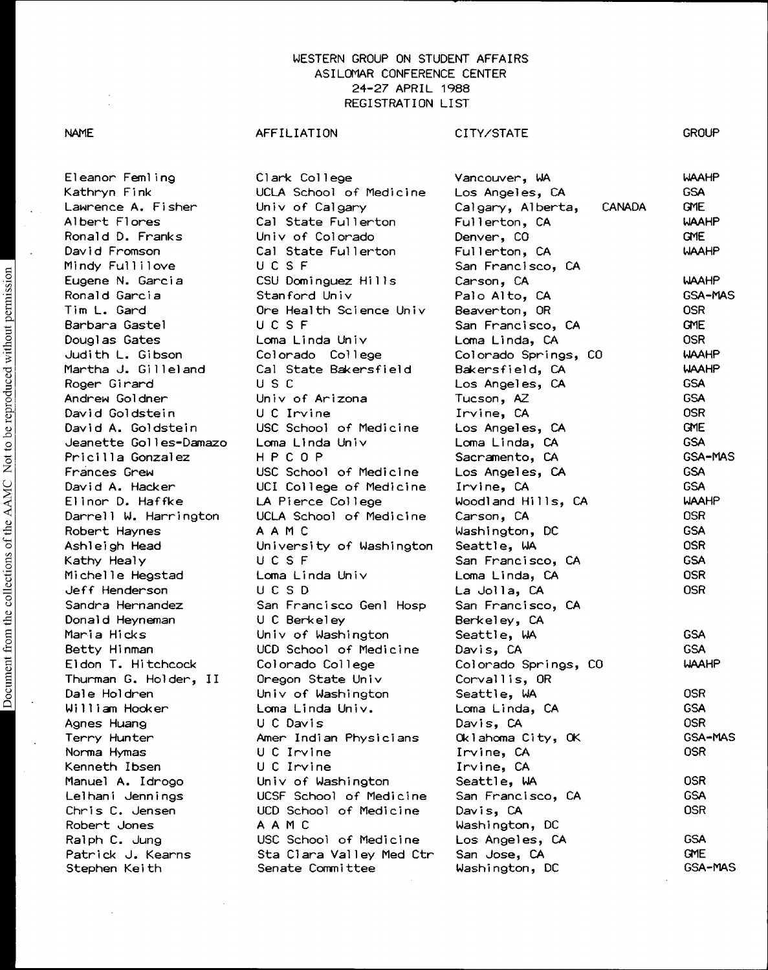#### NAME

#### AFFILIATION

Clark College

# CITY/STATE

Vancouver, WA

**GROUP** 

WAAHP

Eleanor Femling Kathryn Fink Lawrence A. Fisher Albert Flores Ronald D. Franks David Fromson Michelle Hegstad

UCLA School of Medicine Univ of Calgary Cal State Fullerton Univ of Colorado Cal State Fullerton Mindy Fullilove UCSF San Francisco, CA Loma Linda Univ Loma Linda, CA Sandra Hernandez San Francisco Genl Hosp San Francisco, CA Donald Heyneman U C Berkeley Berkeley, CA Thurman G. Holder, II Oregon State Univ Corvallis, OR Kenneth Ibsen U C Irvine Irvine, CA Chris C. Jensen UCD School of Medicine Davis, CA OSR Robert Jones AAMC Washington, DC Stephen Keith Senate Committee Washington, DC

Los Angeles, CA Calgary, Alberta, CANADA Fullerton, CA Denver, CO Fullerton, CA GSA GME WAAHP GME WAAHP Eugene N. Garcia CSU Dominguez Hills Carson, CA WAAHP Ronald Garcia Stanford Univ Palo Alto, CA GSA-MAS Tim L. Gard Ore Health Science Univ Beaverton, OR OSR Barbara Gastel UCSF San Francisco, CA GME Judith L. Gibson Colorado College Colorado Springs, CO WAAHP Martha J. Gilleland Cal State Bakersfield Bakersfield, CA WAAHP rand and the controller of the controller of the controller of the controller of the controller of the controller of the controller of the controller of the controller of the controller of the controller of the controller Andrew Goldner Univ of Arizona Tucson, AZ GSA David Goldstein U C Irvine Irvine, CA OSR David A. Goldstein USC School of Medicine Los Angeles, CA GME Jeanette Golles-Damazo Loma Linda Univ Loma Linda, CA GSA Pricilla Gonzalez HPCOP Sacramento, CA GSA-MAS Frances Grew USC School of Medicine Los Angeles, CA GSA David A. Hacker UCI College of Medicine Irvine, CA GSA Elinor D. Haffke LA Pierce College Woodland Hills, CA WAAHP Darrell W. Harrington UCLA School of Medicine Carson, CA **CALL COSR** Part of the fight figure of the send of the context of the send of the send of the send of the context of the c<br>Robert Haynes A A M C Washington, DC GSA Ashleigh Head University of Washington Seattle, WA OSR Kathy Healy UCSF San Francisco, CA GSA Jeff Henderson UCSD La Jolla, CA OSR Maria Hicks Univ of Washington Seattle, WA GSA Betty Hinman UCD School of Medicine Davis, CA GSA Colorado Springs, CO WAAHP Dale Holdren Univ of Washington Seattle, WA OSR William Hooker Loma Linda Univ. Loma Linda, CA GSA Agnes Huang U C Davis Davis, CA OSR Terry Hunter Amer Indian Physicians Oklahoma City, OK GSA-MAS Norma Hymas U C Irvine Irvine, CA OSR Manuel A. Idrogo Univ of Washington Seattle, WA COSR Lelhani Jennings UCSF School of Medicine San Francisco, CA GSA Ralph C. Jung USC School of Medicine Los Angeles, CA GSA Patrick J. Kearns Sta Clara Valley Med Ctr San Jose, CA GME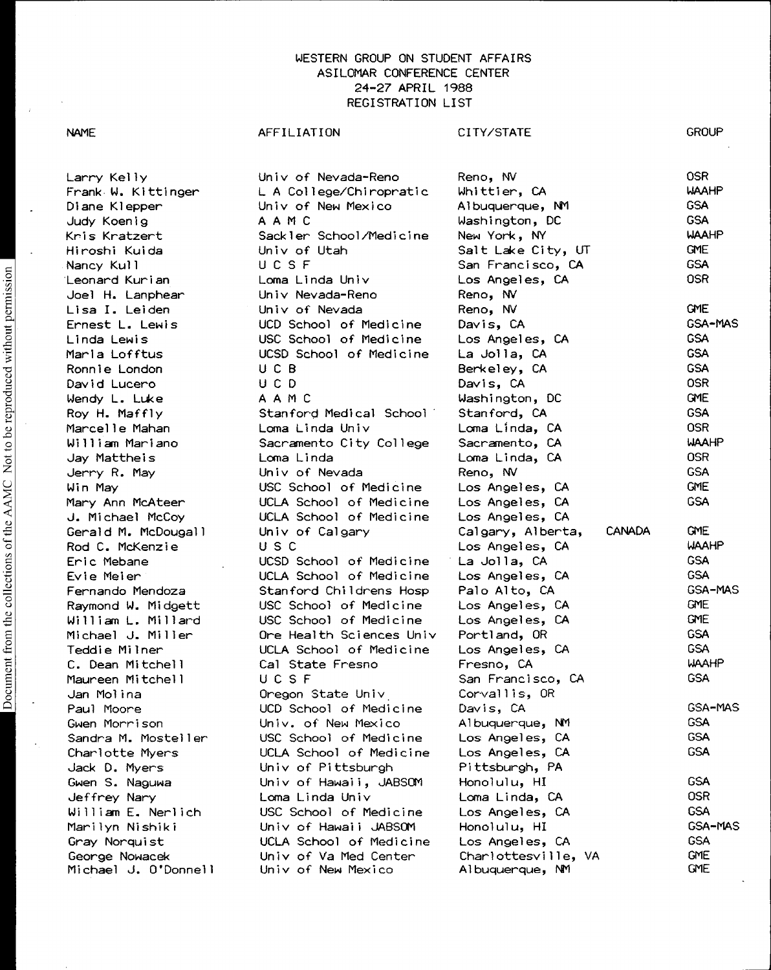Larry Kelly Frank W. Kittinger Diane Klepper Judy Koenig Kris Kratzert Hiroshi Kuida Nancy Kull Leonard Kurian Joel H. Lanphear Lisa I. Leiden Ernest L. Lewis Linda Lewis Maria Lofftus Ronnie London David Lucero Wendy L. Luke Univ of Nevada-Reno U A College/Chiropratic Univ of New Mexico AAMC Sackler School/Medicine Univ of Utah <sup>U</sup> CSF Loma Linda Univ Univ Nevada-Reno Univ of Nevada UCD School of Medicine USC School of Medicine UCSD School of Medicine U C B <sup>U</sup> CD AAMC Reno, NV Whittier, CA Albuquerque, NM Washington, DC New York, NY Los Angeles, CA Reno, NV Reno, NV Davis, CA Los Angeles, CA La Jolla, CA Berkeley, CA Davis, CA Washington, DC

Roy H. Maffly Marcelle Mahan William Mariano Jay Mattheis Jerry R. May Win May Mary Ann McAteer J. Michael McCoy Gerald M. McDougall Rod C. McKenzie Eric Mebane Evie Meier Fernando Mendoza Raymond W. Midgett William L. Millard Michael J. Miller Teddie Milner C. Dean Mitchell Maureen Mitchell Jan Molina Paul Moore Gwen Morrison Sandra M. Mosteller Charlotte Myers Jack D. Myers Gwen S. Naguwa Jeffrey Nary William E. Nerlich Marilyn Nishiki Gray Norquist George Nowacek Michael J. O'Donnell

# AFFILIATION CITY/STATE Stanford Medical School Loma Linda Univ Sacramento City College Loma Linda Univ of Nevada USC School of Medicine UCLA School of Medicine UCLA School of Medicine Univ of Calgary Stanford, CA Loma Linda, CA Sacramento, CA Loma Linda, CA Reno, NV

U S C UCSD School of Medicine UCLA School of Medicine Stanford Childrens Hosp USC School of Medicine USC School of Medicine Ore Health Sciences Univ UCLA School of Medicine Cal State Fresno <sup>U</sup> CSF Oregon State Univ UCD School of Medicine Univ. of New Mexico USC School of Medicine UCLA School of Medicine Univ of Pittsburgh Univ of Hawaii, JABSOM Loma Linda Univ USC School of Medicine Univ of Hawaii JABSOM UCLA School of Medicine Univ of Va Med Center

Univ of New Mexico

| Reno, NV                 | <b>OSR</b>   |
|--------------------------|--------------|
| Whittier, CA             | WAAHP        |
| Albuquerque, NM          | <b>GSA</b>   |
| Washington, DC           | <b>GSA</b>   |
| New York, NY             | <b>WAAHP</b> |
| Salt Lake City, UT       | <b>GME</b>   |
| San Francisco, CA        | <b>GSA</b>   |
| Los Angeles, CA          | <b>OSR</b>   |
| Reno, NV                 |              |
| Reno, NV                 | <b>GME</b>   |
| Davis, CA                | GSA-MAS      |
| Los Angeles, CA          | <b>GSA</b>   |
| La Jolla, CA             | <b>GSA</b>   |
| Berkeley, CA             | <b>GSA</b>   |
| Davis, CA                | 0SR I        |
| Washington, DC           | <b>GME</b>   |
| Stanford, CA             | <b>GSA</b>   |
| Loma Linda, CA           | 0SR          |
| Sacramento, CA           | <b>WAAHP</b> |
| Loma Linda, CA           | <b>OSR</b>   |
| Reno, NV                 | <b>GSA</b>   |
| Los Angeles, CA          | <b>GME</b>   |
| Los Angeles, CA          | <b>GSA</b>   |
| Los Angeles, CA          |              |
|                          | <b>GME</b>   |
| Calgary, Alberta, CANADA | <b>WAAHP</b> |
| Los Angeles, CA          | <b>GSA</b>   |
| La Jolla, CA             | <b>GSA</b>   |
| Los Angeles, CA          | GSA-MAS      |
| Palo Alto, CA            | <b>GME</b>   |
| Los Angeles, CA          |              |
| Los Angeles, CA          | <b>GME</b>   |
| Portland, OR             | <b>GSA</b>   |
| Los Angeles, CA          | <b>GSA</b>   |
| Fresno, CA               | <b>WAAHP</b> |
| San Francisco, CA        | <b>GSA</b>   |
| Corvallis, OR            |              |
| Davis, CA                | GSA-MAS      |
| Albuquerque,<br>NМ       | <b>GSA</b>   |
| Los Angeles, CA          | GSA          |
| Los Angeles, CA          | GSA          |
| Pittsburgh, PA           |              |
| Honolulu, HI             | <b>GSA</b>   |
| Loma Linda, CA           | 0SR          |
| Los Angeles, CA          | <b>GSA</b>   |
| Honolulu, HI             | GSA-MAS      |
| Los Angeles,<br>-CA      | <b>GSA</b>   |
| Charlottesville, VA      | <b>GME</b>   |
| Albuquerque, NM          | GME          |

**GROUP** 

# NAME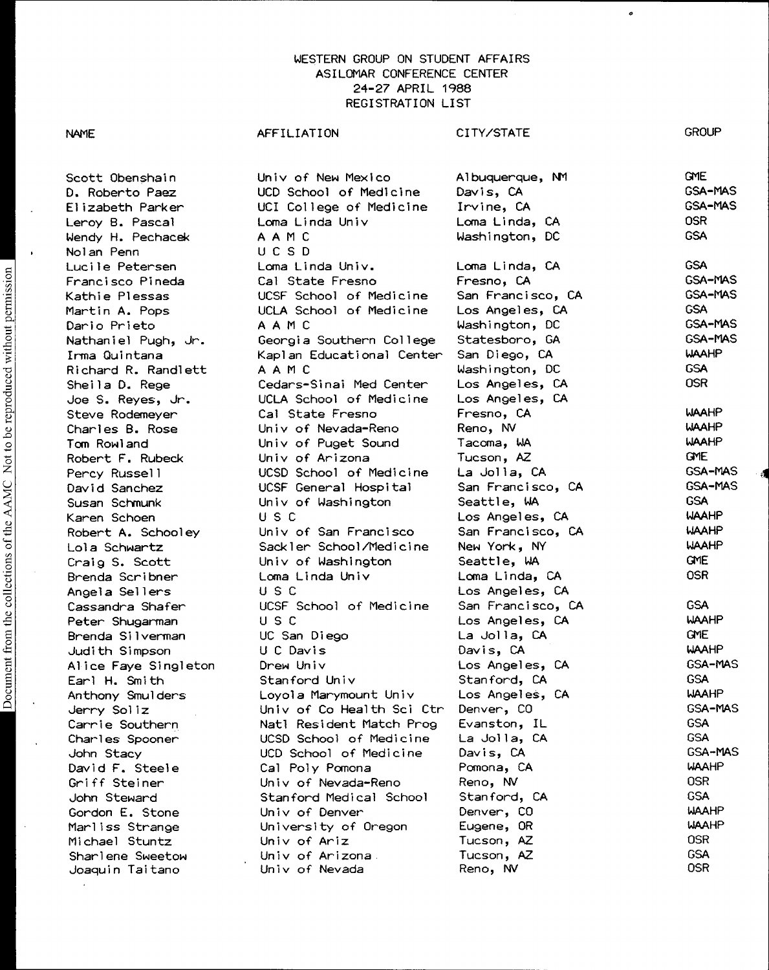CITY/STATE

Scott Obenshain D. Roberto Paez Elizabeth Parker Univ of New Mexico UCD School of Medicine UCI College of Medicine Albuquerque, NM Davis, CA Irvine, CA Leroy B. Pascal Loma Linda Univ Loma Linda, CA OSR Lendy B. Pascal Communications and Extractions of the Communications of the Communications of the CSA Nolan Penn UCSD Lucile Petersen Loma Linda Univ. Loma Linda, CA GSA Francisco Pineda Cal State Fresno Fresno, CA Kathie Plessas UCSF School of Medicine San Francisco, CA GSA-MAS Martin A. Pops UCLA School of Medicine Los Angeles, CA GSA nation in the repeat of the control of the control and the magnetic control of the control of the control of the<br>Dario Prieto AAMC Washington, DC GSA-MAS Nathaniel Pugh, Jr. Georgia Southern College Statesboro, GA GSA- MAS Irma Quintana Kaplan Educational Center San Diego, CA Richard R. Randlett AAMC Washington, DC GSA Cedars-Sinai Med Center Joe S. Reyes, Jr. UCLA School of Medicine Los Angeles, CA Steve Rodemeyer Cal State Fresno Fresno, CA WAAHP Charles B. Rose Univ of Nevada-Reno Reno, NV WAAHP Tom Rowland Univ of Puget Sound Tacoma, WA WAAHP Robert F. Rubeck Univ of Arizona Tucson, AZ GME Percy Russell UCSD School of Medicine La Jolla, CA GSA-MAS David Sanchez UCSF General Hospital San Francisco, CA GSA- MAS Susan Schmunk Univ of Washington Seattle, WA GSA Karen Schoen USC Los Angeles, CA WAAHP Robert A. Schooley Univ of San Francisco San Francisco, CA WAAHP Lola Schwartz Sackler School/Medicine New York, NY WAAHP Craig S. Scott Univ of Washington Seattle, WA GME Brenda Scribner Loma Linda Univ Loma Linda, CA Angela Sellers USC Los Angeles, CA Cassandra Shafer UCSF School of Medicine San Francisco, CA GSA Peter Shugarman USC Los Angeles, CA WAAHP Brenda Silverman UC San Diego La Jolla, CA GME Judith Simpson U C Davis Davis, CA WAAHP Alice Faye Singleton Drew Univ Los Angeles, CA GSA-MAS

AFFILIATION

John Stacy **Canadian CCD** School of Medicine Davis, CA Griff Steiner Univ of Nevada-Reno Reno, NV

Joaquin Taitano

Earl H. Smith Stanford Univ Stanford, CA GSA Anthony Smulders Loyola Marymount Univ Los Angeles, CA Jerry Soliz Univ of Co Health Sci Ctr Denver, CO GSA-MAS Carrie Southern Natl Resident Match Prog Evanston, IL GSA Charles Spooner UCSD School of Medicine La Jolla, CA GSA David F. Steele Cal Poly Pomona Pomona, CA WAAHP John Steward Stanford Medical School Stanford, CA GSA Gordon E. Stone Univ of Denver Denver, CO WAAHP Marliss Strange University of Oregon Eugene, OR WAAH<br>Michael Stuntz Univ of Ariz Tucson, AZ OSR Michael Stuntz Univ of Ariz Tucson, AZ OSR

Sharlene Sweetow Univ of Arizona Tucson, AZ GSA

**GROUP** 

GME GSA-MAS GSA-MAS

Document from the collections of the AAMC Not to be reproduced without permission Document from the collections of the AAMC Not to be reproduced without permission

NAME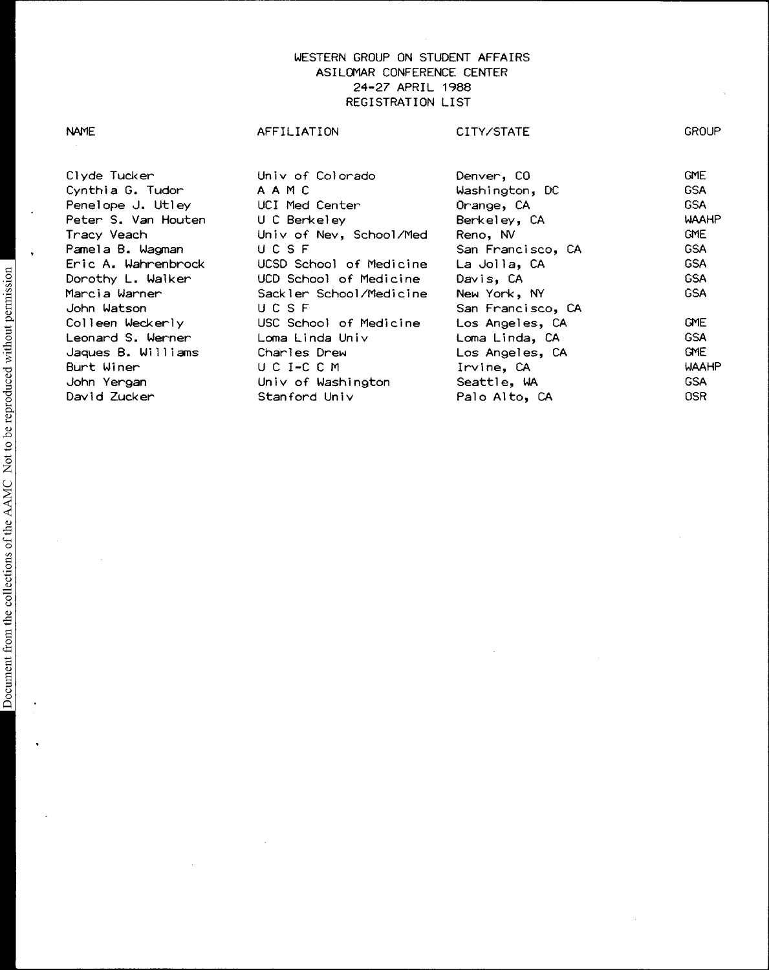# Clyde Tucker Univ of Colorado Denver, CO GME Cynthia G. Tudor AAMC Washington, DC GSA Penelope J. Utley Peter S. Van Houten U C Berkeley Berkeley, CA WAAHP Univ of Nev, School/Med Reno, NV Pamela B. Wagman UCSF San Francisco, CA GSA UCSD School of Medicine Dorothy L. Walker UCD School of Medicine Davis, CA GSA Marcia Warner Sackler School/Medicine New York, NY GSA John Watson UCSF San Francisco, CA<br>Colleen Weckerly USC School of Medicine Los Angeles, CA USC School of Medicine Los Angeles, CA GME<br>Coma Linda Univ Loma Linda, CA GSA Leonard S. Werner Loma Linda Univ Loma Linda, CA Jaques B. Williams Charles Drew Los Angeles, CA GME

David Zucker Stanford Univ Palo Alto, CA OSR

Irvine, CA WAAHP<br>Seattle, WA GSA GSA

UCI-CCM

John Yergan Univ of Washington Seattle, WA

NAME GROUP AFFILIATION CITY/STATE GROUP

Burt Winer